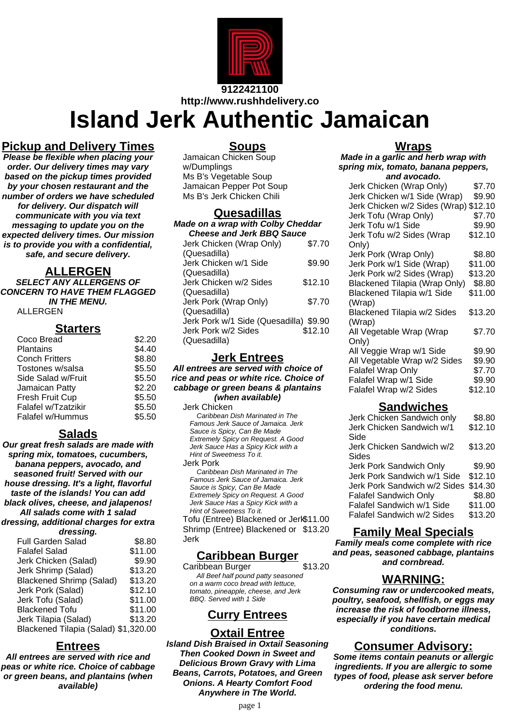

**http://www.rushhdelivery.co**

**Island Jerk Authentic Jamaican**

## **Pickup and Delivery Times**

**Please be flexible when placing your order. Our delivery times may vary based on the pickup times provided by your chosen restaurant and the number of orders we have scheduled for delivery. Our dispatch will communicate with you via text messaging to update you on the expected delivery times. Our mission is to provide you with a confidential, safe, and secure delivery.**

#### **ALLERGEN**

**SELECT ANY ALLERGENS OF CONCERN TO HAVE THEM FLAGGED IN THE MENU.** ALLERGEN

### **Starters**

| Coco Bread            | \$2.20 |
|-----------------------|--------|
| Plantains             | \$4.40 |
| <b>Conch Fritters</b> | \$8.80 |
| Tostones w/salsa      | \$5.50 |
| Side Salad w/Fruit    | \$5.50 |
| Jamaican Patty        | \$2.20 |
| Fresh Fruit Cup       | \$5.50 |
| Falafel w/Tzatzikir   | \$5.50 |
| Falafel w/Hummus      | \$5.50 |
|                       |        |

## **Salads**

**Our great fresh salads are made with spring mix, tomatoes, cucumbers, banana peppers, avocado, and seasoned fruit! Served with our house dressing. It's a light, flavorful taste of the islands! You can add black olives, cheese, and jalapenos! All salads come with 1 salad dressing, additional charges for extra dressing.**

| <b>Full Garden Salad</b>             | \$8.80  |
|--------------------------------------|---------|
| <b>Falafel Salad</b>                 | \$11.00 |
| Jerk Chicken (Salad)                 | \$9.90  |
| Jerk Shrimp (Salad)                  | \$13.20 |
| <b>Blackened Shrimp (Salad)</b>      | \$13.20 |
| Jerk Pork (Salad)                    | \$12.10 |
| Jerk Tofu (Salad)                    | \$11.00 |
| <b>Blackened Tofu</b>                | \$11.00 |
| Jerk Tilapia (Salad)                 | \$13.20 |
| Blackened Tilapia (Salad) \$1,320.00 |         |
|                                      |         |

## **Entrees**

**All entrees are served with rice and peas or white rice. Choice of cabbage or green beans, and plantains (when available)**

### **Soups**

Jamaican Chicken Soup w/Dumplings Ms B's Vegetable Soup Jamaican Pepper Pot Soup Ms B's Jerk Chicken Chili

#### **Quesadillas**

| <b>Made on a wrap with Colby Cheddar</b> |         |  |  |  |
|------------------------------------------|---------|--|--|--|
| <b>Cheese and Jerk BBQ Sauce</b>         |         |  |  |  |
| Jerk Chicken (Wrap Only)                 | \$7.70  |  |  |  |
| (Quesadilla)                             |         |  |  |  |
| Jerk Chicken w/1 Side                    | \$9.90  |  |  |  |
| (Quesadilla)                             |         |  |  |  |
| Jerk Chicken w/2 Sides                   | \$12.10 |  |  |  |
| (Quesadilla)                             |         |  |  |  |
| Jerk Pork (Wrap Only)                    | \$7.70  |  |  |  |
| (Quesadilla)                             |         |  |  |  |
| Jerk Pork w/1 Side (Quesadilla) \$9.90   |         |  |  |  |
| Jerk Pork w/2 Sides                      | \$12.10 |  |  |  |
| (Quesadilla)                             |         |  |  |  |

## **Jerk Entrees**

**All entrees are served with choice of rice and peas or white rice. Choice of cabbage or green beans & plantains (when available)**

Jerk Chicken

Caribbean Dish Marinated in The Famous Jerk Sauce of Jamaica. Jerk Sauce is Spicy, Can Be Made Extremely Spicy on Request. A Good Jerk Sauce Has a Spicy Kick with a Hint of Sweetness To it.

Jerk Pork

Caribbean Dish Marinated in The Famous Jerk Sauce of Jamaica. Jerk Sauce is Spicy, Can Be Made Extremely Spicy on Request. A Good Jerk Sauce Has a Spicy Kick with a Hint of Sweetness To it.

Tofu (Entree) Blackened or Jerk\$11.00 Shrimp (Entree) Blackened or \$13.20 Jerk

## **Caribbean Burger**

Caribbean Burger \$13.20 All Beef half pound patty seasoned on a warm coco bread with lettuce, tomato, pineapple, cheese, and Jerk BBQ. Served with 1 Side

# **Curry Entrees**

## **Oxtail Entree**

**Island Dish Braised in Oxtail Seasoning Then Cooked Down in Sweet and Delicious Brown Gravy with Lima Beans, Carrots, Potatoes, and Green Onions. A Hearty Comfort Food Anywhere in The World.**

### **Wraps**

**Made in a garlic and herb wrap with spring mix, tomato, banana peppers, and avocado.**

| Jerk Chicken (Wrap Only)              | \$7.70  |
|---------------------------------------|---------|
| Jerk Chicken w/1 Side (Wrap)          | \$9.90  |
| Jerk Chicken w/2 Sides (Wrap) \$12.10 |         |
| Jerk Tofu (Wrap Only)                 | \$7.70  |
| Jerk Tofu w/1 Side                    | \$9.90  |
| Jerk Tofu w/2 Sides (Wrap             | \$12.10 |
| Only)                                 |         |
| Jerk Pork (Wrap Only)                 | \$8.80  |
| Jerk Pork w/1 Side (Wrap)             | \$11.00 |
| Jerk Pork w/2 Sides (Wrap)            | \$13.20 |
| <b>Blackened Tilapia (Wrap Only)</b>  | \$8.80  |
| Blackened Tilapia w/1 Side            | \$11.00 |
| (Wrap)                                |         |
| Blackened Tilapia w/2 Sides           | \$13.20 |
| (Wrap)                                |         |
| All Vegetable Wrap (Wrap              | \$7.70  |
| Only)                                 |         |
| All Veggie Wrap w/1 Side              | \$9.90  |
| All Vegetable Wrap w/2 Sides          | \$9.90  |
| Falafel Wrap Only                     | \$7.70  |
| Falafel Wrap w/1 Side                 | \$9.90  |
| Falafel Wrap w/2 Sides                | \$12.10 |
|                                       |         |

### **Sandwiches**

| Jerk Chicken Sandwich only           | \$8.80  |
|--------------------------------------|---------|
| Jerk Chicken Sandwich w/1            | \$12.10 |
| Side                                 |         |
| Jerk Chicken Sandwich w/2            | \$13.20 |
| Sides                                |         |
| Jerk Pork Sandwich Only              | \$9.90  |
| Jerk Pork Sandwich w/1 Side          | \$12.10 |
| Jerk Pork Sandwich w/2 Sides \$14.30 |         |
| <b>Falafel Sandwich Only</b>         | \$8.80  |
| Falafel Sandwich w/1 Side            | \$11.00 |
| Falafel Sandwich w/2 Sides           | \$13.20 |
|                                      |         |

## **Family Meal Specials**

**Family meals come complete with rice and peas, seasoned cabbage, plantains and cornbread.**

# **WARNING:**

**Consuming raw or undercooked meats, poultry, seafood, shellfish, or eggs may increase the risk of foodborne illness, especially if you have certain medical conditions.**

## **Consumer Advisory:**

**Some items contain peanuts or allergic ingredients. If you are allergic to some types of food, please ask server before ordering the food menu.**